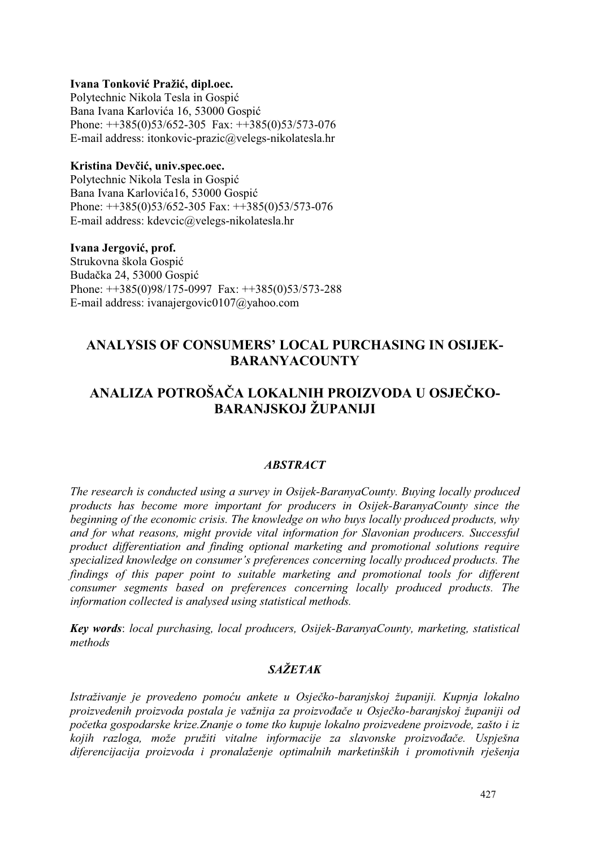#### **Ivana Tonković Pražić, dipl.oec.**

Polytechnic Nikola Tesla in Gospić Bana Ivana Karlovića 16, 53000 Gospić Phone: ++385(0)53/652-305 Fax: ++385(0)53/573-076 E-mail address: itonkovic-prazic@velegs-nikolatesla.hr

#### **Kristina Devčić, univ.spec.oec.**

Polytechnic Nikola Tesla in Gospić Bana Ivana Karlovića16, 53000 Gospić Phone: ++385(0)53/652-305 Fax: ++385(0)53/573-076 E-mail address: kdevcic@velegs-nikolatesla.hr

**Ivana Jergović, prof.** Strukovna škola Gospić Budačka 24, 53000 Gospić Phone: ++385(0)98/175-0997 Fax: ++385(0)53/573-288 E-mail address: ivanajergovic0107@yahoo.com

# **ANALYSIS OF CONSUMERS' LOCAL PURCHASING IN OSIJEK-BARANYACOUNTY**

# **ANALIZA POTROŠAČA LOKALNIH PROIZVODA U OSJEČKO-BARANJSKOJ ŽUPANIJI**

## *ABSTRACT*

*The research is conducted using a survey in Osijek-BaranyaCounty. Buying locally produced products has become more important for producers in Osijek-BaranyaCounty since the beginning of the economic crisis. The knowledge on who buys locally produced products, why and for what reasons, might provide vital information for Slavonian producers. Successful product differentiation and finding optional marketing and promotional solutions require specialized knowledge on consumer's preferences concerning locally produced products. The findings of this paper point to suitable marketing and promotional tools for different consumer segments based on preferences concerning locally produced products. The information collected is analysed using statistical methods.* 

*Key words*: *local purchasing, local producers, Osijek-BaranyaCounty, marketing, statistical methods* 

# *SAŽETAK*

*Istraživanje je provedeno pomoću ankete u Osječko-baranjskoj županiji. Kupnja lokalno proizvedenih proizvoda postala je važnija za proizvođače u Osječko-baranjskoj županiji od početka gospodarske krize.Znanje o tome tko kupuje lokalno proizvedene proizvode, zašto i iz kojih razloga, može pružiti vitalne informacije za slavonske proizvođače. Uspješna diferencijacija proizvoda i pronalaženje optimalnih marketinških i promotivnih rješenja*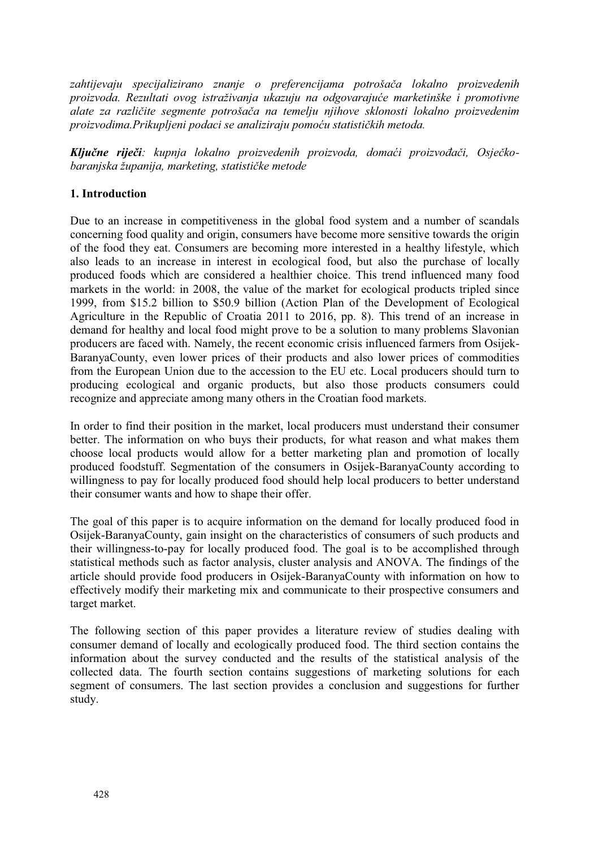*zahtijevaju specijalizirano znanje o preferencijama potrošača lokalno proizvedenih proizvoda. Rezultati ovog istraživanja ukazuju na odgovarajuće marketinške i promotivne alate za različite segmente potrošača na temelju njihove sklonosti lokalno proizvedenim proizvodima.Prikupljeni podaci se analiziraju pomoću statističkih metoda.*

*Ključne riječi: kupnja lokalno proizvedenih proizvoda, domaći proizvođači, Osječkobaranjska županija, marketing, statističke metode*

## **1. Introduction**

Due to an increase in competitiveness in the global food system and a number of scandals concerning food quality and origin, consumers have become more sensitive towards the origin of the food they eat. Consumers are becoming more interested in a healthy lifestyle, which also leads to an increase in interest in ecological food, but also the purchase of locally produced foods which are considered a healthier choice. This trend influenced many food markets in the world: in 2008, the value of the market for ecological products tripled since 1999, from \$15.2 billion to \$50.9 billion (Action Plan of the Development of Ecological Agriculture in the Republic of Croatia 2011 to 2016, pp. 8). This trend of an increase in demand for healthy and local food might prove to be a solution to many problems Slavonian producers are faced with. Namely, the recent economic crisis influenced farmers from Osijek-BaranyaCounty, even lower prices of their products and also lower prices of commodities from the European Union due to the accession to the EU etc. Local producers should turn to producing ecological and organic products, but also those products consumers could recognize and appreciate among many others in the Croatian food markets.

In order to find their position in the market, local producers must understand their consumer better. The information on who buys their products, for what reason and what makes them choose local products would allow for a better marketing plan and promotion of locally produced foodstuff. Segmentation of the consumers in Osijek-BaranyaCounty according to willingness to pay for locally produced food should help local producers to better understand their consumer wants and how to shape their offer.

The goal of this paper is to acquire information on the demand for locally produced food in Osijek-BaranyaCounty, gain insight on the characteristics of consumers of such products and their willingness-to-pay for locally produced food. The goal is to be accomplished through statistical methods such as factor analysis, cluster analysis and ANOVA. The findings of the article should provide food producers in Osijek-BaranyaCounty with information on how to effectively modify their marketing mix and communicate to their prospective consumers and target market.

The following section of this paper provides a literature review of studies dealing with consumer demand of locally and ecologically produced food. The third section contains the information about the survey conducted and the results of the statistical analysis of the collected data. The fourth section contains suggestions of marketing solutions for each segment of consumers. The last section provides a conclusion and suggestions for further study.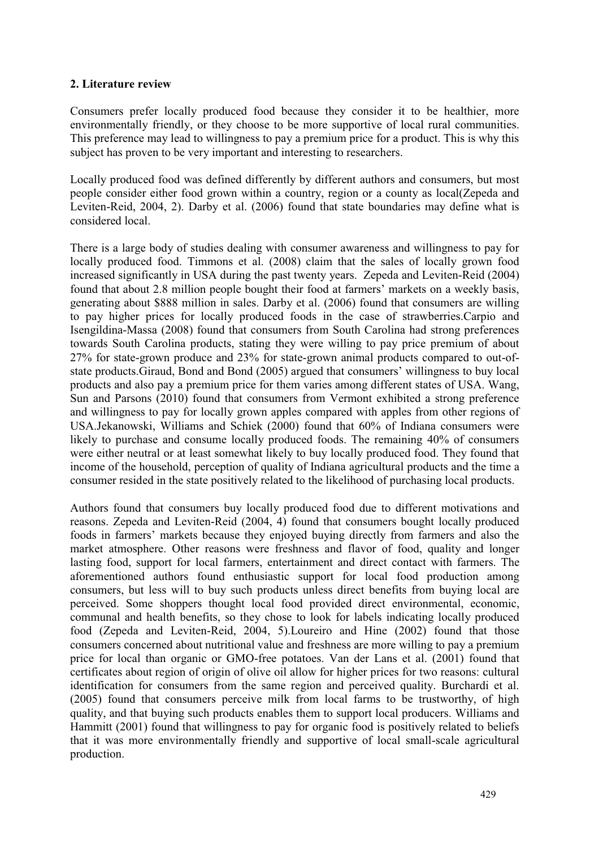### **2. Literature review**

Consumers prefer locally produced food because they consider it to be healthier, more environmentally friendly, or they choose to be more supportive of local rural communities. This preference may lead to willingness to pay a premium price for a product. This is why this subject has proven to be very important and interesting to researchers.

Locally produced food was defined differently by different authors and consumers, but most people consider either food grown within a country, region or a county as local(Zepeda and Leviten-Reid, 2004, 2). Darby et al. (2006) found that state boundaries may define what is considered local.

There is a large body of studies dealing with consumer awareness and willingness to pay for locally produced food. Timmons et al. (2008) claim that the sales of locally grown food increased significantly in USA during the past twenty years. Zepeda and Leviten-Reid (2004) found that about 2.8 million people bought their food at farmers' markets on a weekly basis, generating about \$888 million in sales. Darby et al. (2006) found that consumers are willing to pay higher prices for locally produced foods in the case of strawberries.Carpio and Isengildina-Massa (2008) found that consumers from South Carolina had strong preferences towards South Carolina products, stating they were willing to pay price premium of about 27% for state-grown produce and 23% for state-grown animal products compared to out-ofstate products.Giraud, Bond and Bond (2005) argued that consumers' willingness to buy local products and also pay a premium price for them varies among different states of USA. Wang, Sun and Parsons (2010) found that consumers from Vermont exhibited a strong preference and willingness to pay for locally grown apples compared with apples from other regions of USA.Jekanowski, Williams and Schiek (2000) found that 60% of Indiana consumers were likely to purchase and consume locally produced foods. The remaining 40% of consumers were either neutral or at least somewhat likely to buy locally produced food. They found that income of the household, perception of quality of Indiana agricultural products and the time a consumer resided in the state positively related to the likelihood of purchasing local products.

Authors found that consumers buy locally produced food due to different motivations and reasons. Zepeda and Leviten-Reid (2004, 4) found that consumers bought locally produced foods in farmers' markets because they enjoyed buying directly from farmers and also the market atmosphere. Other reasons were freshness and flavor of food, quality and longer lasting food, support for local farmers, entertainment and direct contact with farmers. The aforementioned authors found enthusiastic support for local food production among consumers, but less will to buy such products unless direct benefits from buying local are perceived. Some shoppers thought local food provided direct environmental, economic, communal and health benefits, so they chose to look for labels indicating locally produced food (Zepeda and Leviten-Reid, 2004, 5).Loureiro and Hine (2002) found that those consumers concerned about nutritional value and freshness are more willing to pay a premium price for local than organic or GMO-free potatoes. Van der Lans et al. (2001) found that certificates about region of origin of olive oil allow for higher prices for two reasons: cultural identification for consumers from the same region and perceived quality. Burchardi et al. (2005) found that consumers perceive milk from local farms to be trustworthy, of high quality, and that buying such products enables them to support local producers. Williams and Hammitt (2001) found that willingness to pay for organic food is positively related to beliefs that it was more environmentally friendly and supportive of local small-scale agricultural production.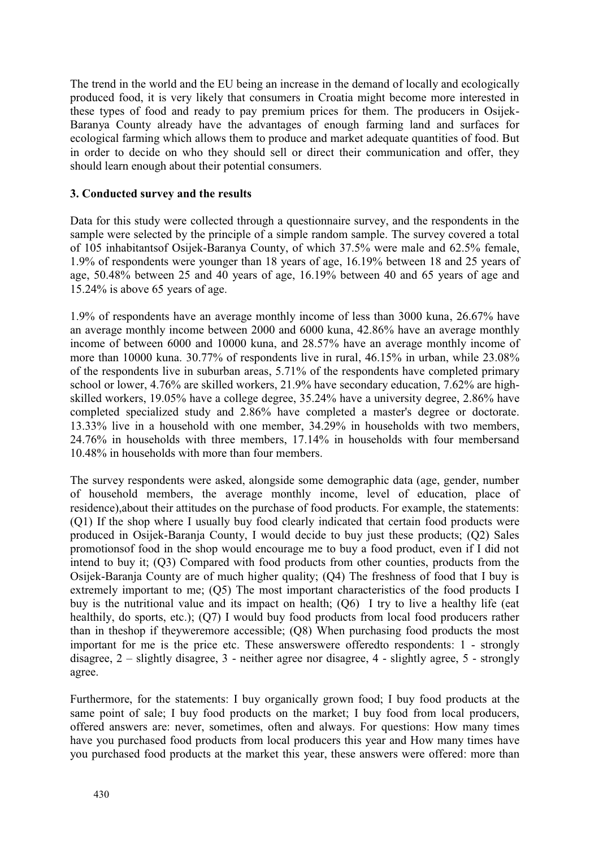The trend in the world and the EU being an increase in the demand of locally and ecologically produced food, it is very likely that consumers in Croatia might become more interested in these types of food and ready to pay premium prices for them. The producers in Osijek-Baranya County already have the advantages of enough farming land and surfaces for ecological farming which allows them to produce and market adequate quantities of food. But in order to decide on who they should sell or direct their communication and offer, they should learn enough about their potential consumers.

### **3. Conducted survey and the results**

Data for this study were collected through a questionnaire survey, and the respondents in the sample were selected by the principle of a simple random sample. The survey covered a total of 105 inhabitantsof Osijek-Baranya County, of which 37.5% were male and 62.5% female, 1.9% of respondents were younger than 18 years of age, 16.19% between 18 and 25 years of age, 50.48% between 25 and 40 years of age, 16.19% between 40 and 65 years of age and 15.24% is above 65 years of age.

1.9% of respondents have an average monthly income of less than 3000 kuna, 26.67% have an average monthly income between 2000 and 6000 kuna, 42.86% have an average monthly income of between 6000 and 10000 kuna, and 28.57% have an average monthly income of more than 10000 kuna. 30.77% of respondents live in rural, 46.15% in urban, while 23.08% of the respondents live in suburban areas, 5.71% of the respondents have completed primary school or lower, 4.76% are skilled workers, 21.9% have secondary education, 7.62% are highskilled workers, 19.05% have a college degree, 35.24% have a university degree, 2.86% have completed specialized study and 2.86% have completed a master's degree or doctorate. 13.33% live in a household with one member, 34.29% in households with two members, 24.76% in households with three members, 17.14% in households with four membersand 10.48% in households with more than four members.

The survey respondents were asked, alongside some demographic data (age, gender, number of household members, the average monthly income, level of education, place of residence),about their attitudes on the purchase of food products. For example, the statements: (Q1) If the shop where I usually buy food clearly indicated that certain food products were produced in Osijek-Baranja County, I would decide to buy just these products; (Q2) Sales promotionsof food in the shop would encourage me to buy a food product, even if I did not intend to buy it; (Q3) Compared with food products from other counties, products from the Osijek-Baranja County are of much higher quality; (Q4) The freshness of food that I buy is extremely important to me; (Q5) The most important characteristics of the food products I buy is the nutritional value and its impact on health; (Q6) I try to live a healthy life (eat healthily, do sports, etc.); (O7) I would buy food products from local food producers rather than in theshop if theyweremore accessible; (Q8) When purchasing food products the most important for me is the price etc. These answerswere offeredto respondents: 1 - strongly disagree, 2 – slightly disagree, 3 - neither agree nor disagree, 4 - slightly agree, 5 - strongly agree.

Furthermore, for the statements: I buy organically grown food; I buy food products at the same point of sale; I buy food products on the market; I buy food from local producers, offered answers are: never, sometimes, often and always. For questions: How many times have you purchased food products from local producers this year and How many times have you purchased food products at the market this year, these answers were offered: more than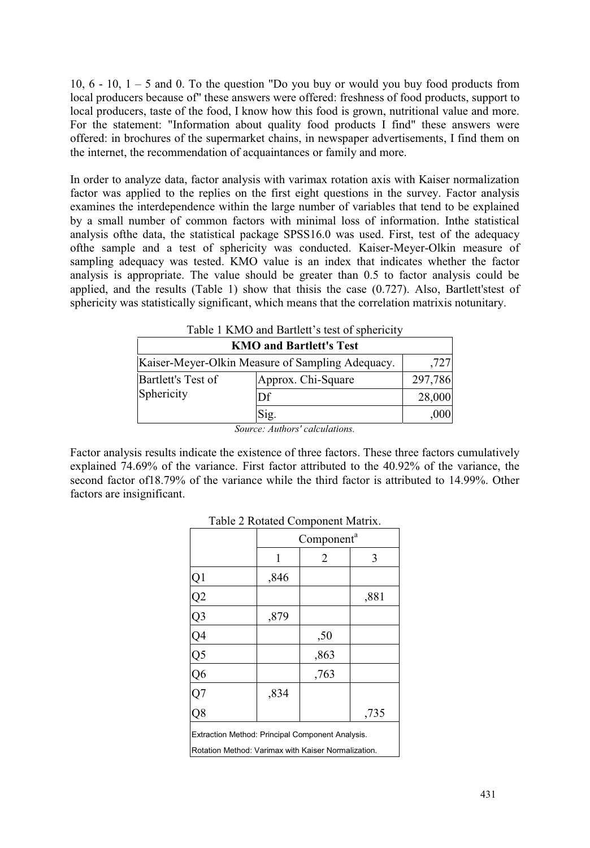10,  $6 - 10$ ,  $1 - 5$  and 0. To the question "Do you buy or would you buy food products from local producers because of" these answers were offered: freshness of food products, support to local producers, taste of the food, I know how this food is grown, nutritional value and more. For the statement: "Information about quality food products I find" these answers were offered: in brochures of the supermarket chains, in newspaper advertisements, I find them on the internet, the recommendation of acquaintances or family and more.

In order to analyze data, factor analysis with varimax rotation axis with Kaiser normalization factor was applied to the replies on the first eight questions in the survey. Factor analysis examines the interdependence within the large number of variables that tend to be explained by a small number of common factors with minimal loss of information. Inthe statistical analysis ofthe data, the statistical package SPSS16.0 was used. First, test of the adequacy ofthe sample and a test of sphericity was conducted. Kaiser-Meyer-Olkin measure of sampling adequacy was tested. KMO value is an index that indicates whether the factor analysis is appropriate. The value should be greater than 0.5 to factor analysis could be applied, and the results (Table 1) show that thisis the case (0.727). Also, Bartlett'stest of sphericity was statistically significant, which means that the correlation matrixis notunitary.

|                                                          | Table 1 KMO and Bartlett's test of sphericity |         |
|----------------------------------------------------------|-----------------------------------------------|---------|
|                                                          | <b>KMO and Bartlett's Test</b>                |         |
| ,727<br>Kaiser-Meyer-Olkin Measure of Sampling Adequacy. |                                               |         |
| Bartlett's Test of                                       | Approx. Chi-Square                            | 297,786 |
| Sphericity                                               | Df                                            | 28,000  |
|                                                          | Sig.                                          | 000.    |

*Source: Authors' calculations.* 

Factor analysis results indicate the existence of three factors. These three factors cumulatively explained 74.69% of the variance. First factor attributed to the 40.92% of the variance, the second factor of18.79% of the variance while the third factor is attributed to 14.99%. Other factors are insignificant.

| Table 2 Rotated Component Matrix.                   |                        |      |      |  |
|-----------------------------------------------------|------------------------|------|------|--|
|                                                     | Component <sup>a</sup> |      |      |  |
|                                                     | 1                      | 2    | 3    |  |
|                                                     | .846                   |      |      |  |
|                                                     |                        |      | ,881 |  |
| $Q1$<br>$Q2$<br>$Q3$<br>$Q4$<br>$Q5$<br>$Q6$        | .879                   |      |      |  |
|                                                     |                        | ,50  |      |  |
|                                                     |                        | ,863 |      |  |
|                                                     |                        | .763 |      |  |
| $\overline{Q7}$                                     | .834                   |      |      |  |
| Q <sup>8</sup>                                      |                        |      | ,735 |  |
| Extraction Method: Principal Component Analysis.    |                        |      |      |  |
| Rotation Method: Varimax with Kaiser Normalization. |                        |      |      |  |

| Table 2 Rotated Component Matrix. |
|-----------------------------------|
|                                   |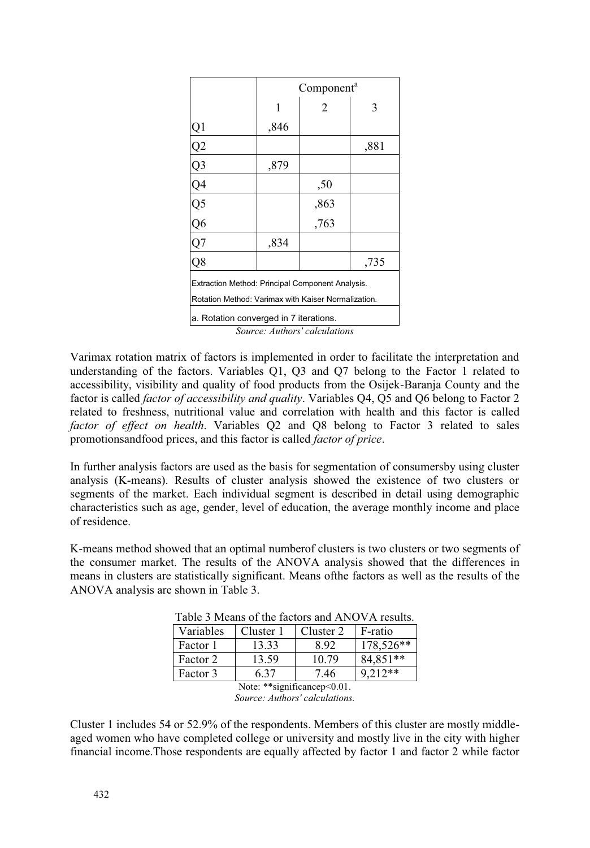|                                                     | Component <sup>a</sup> |                |      |
|-----------------------------------------------------|------------------------|----------------|------|
|                                                     | 1                      | $\overline{c}$ | 3    |
|                                                     | .846                   |                |      |
|                                                     |                        |                | ,881 |
| $\frac{Q1}{Q2}$ $\frac{Q3}{Q4}$                     | .879                   |                |      |
|                                                     |                        |                |      |
|                                                     |                        | 50,<br>863,    |      |
|                                                     |                        | .763           |      |
| $rac{Q6}{Q7}$                                       | .834                   |                |      |
| Q8                                                  |                        |                | ,735 |
| Extraction Method: Principal Component Analysis.    |                        |                |      |
| Rotation Method: Varimax with Kaiser Normalization. |                        |                |      |
| a. Rotation converged in 7 iterations.              |                        |                |      |
| Source: Authors' calculations                       |                        |                |      |

Varimax rotation matrix of factors is implemented in order to facilitate the interpretation and understanding of the factors. Variables Q1, Q3 and Q7 belong to the Factor 1 related to accessibility, visibility and quality of food products from the Osijek-Baranja County and the factor is called *factor of accessibility and quality*. Variables Q4, Q5 and Q6 belong to Factor 2 related to freshness, nutritional value and correlation with health and this factor is called *factor of effect on health*. Variables Q2 and Q8 belong to Factor 3 related to sales promotionsandfood prices, and this factor is called *factor of price*.

In further analysis factors are used as the basis for segmentation of consumersby using cluster analysis (K-means). Results of cluster analysis showed the existence of two clusters or segments of the market. Each individual segment is described in detail using demographic characteristics such as age, gender, level of education, the average monthly income and place of residence.

K-means method showed that an optimal numberof clusters is two clusters or two segments of the consumer market. The results of the ANOVA analysis showed that the differences in means in clusters are statistically significant. Means ofthe factors as well as the results of the ANOVA analysis are shown in Table 3.

| Table 5 Means of the factors and ANOVA results. |           |           |           |  |
|-------------------------------------------------|-----------|-----------|-----------|--|
| Variables                                       | Cluster 1 | Cluster 2 | F-ratio   |  |
| Factor 1                                        | 13.33     | 8.92      | 178.526** |  |
| Factor 2                                        | 13.59     | 10.79     | 84.851**  |  |
| Factor 3                                        | 6.37      | 7.46      | $9,212**$ |  |
| also de la f<br>$\sim$ 0.1<br>$\cdots$          |           |           |           |  |

Table 3 Means of the factors and ANOVA results.

Cluster 1 includes 54 or 52.9% of the respondents. Members of this cluster are mostly middleaged women who have completed college or university and mostly live in the city with higher financial income.Those respondents are equally affected by factor 1 and factor 2 while factor

Note: \*\*significancep<0.01. *Source: Authors' calculations.*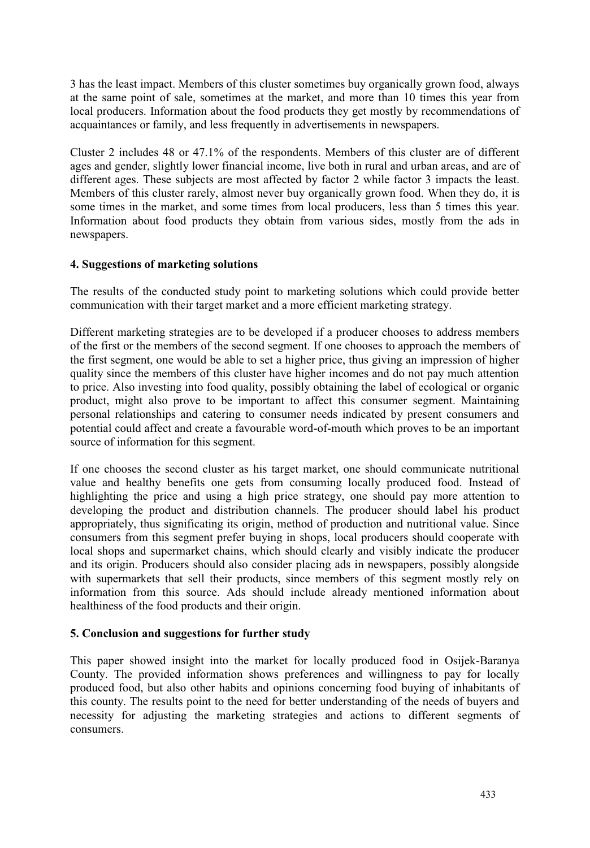3 has the least impact. Members of this cluster sometimes buy organically grown food, always at the same point of sale, sometimes at the market, and more than 10 times this year from local producers. Information about the food products they get mostly by recommendations of acquaintances or family, and less frequently in advertisements in newspapers.

Cluster 2 includes 48 or 47.1% of the respondents. Members of this cluster are of different ages and gender, slightly lower financial income, live both in rural and urban areas, and are of different ages. These subjects are most affected by factor 2 while factor 3 impacts the least. Members of this cluster rarely, almost never buy organically grown food. When they do, it is some times in the market, and some times from local producers, less than 5 times this year. Information about food products they obtain from various sides, mostly from the ads in newspapers.

## **4. Suggestions of marketing solutions**

The results of the conducted study point to marketing solutions which could provide better communication with their target market and a more efficient marketing strategy.

Different marketing strategies are to be developed if a producer chooses to address members of the first or the members of the second segment. If one chooses to approach the members of the first segment, one would be able to set a higher price, thus giving an impression of higher quality since the members of this cluster have higher incomes and do not pay much attention to price. Also investing into food quality, possibly obtaining the label of ecological or organic product, might also prove to be important to affect this consumer segment. Maintaining personal relationships and catering to consumer needs indicated by present consumers and potential could affect and create a favourable word-of-mouth which proves to be an important source of information for this segment.

If one chooses the second cluster as his target market, one should communicate nutritional value and healthy benefits one gets from consuming locally produced food. Instead of highlighting the price and using a high price strategy, one should pay more attention to developing the product and distribution channels. The producer should label his product appropriately, thus significating its origin, method of production and nutritional value. Since consumers from this segment prefer buying in shops, local producers should cooperate with local shops and supermarket chains, which should clearly and visibly indicate the producer and its origin. Producers should also consider placing ads in newspapers, possibly alongside with supermarkets that sell their products, since members of this segment mostly rely on information from this source. Ads should include already mentioned information about healthiness of the food products and their origin.

### **5. Conclusion and suggestions for further study**

This paper showed insight into the market for locally produced food in Osijek-Baranya County. The provided information shows preferences and willingness to pay for locally produced food, but also other habits and opinions concerning food buying of inhabitants of this county. The results point to the need for better understanding of the needs of buyers and necessity for adjusting the marketing strategies and actions to different segments of consumers.